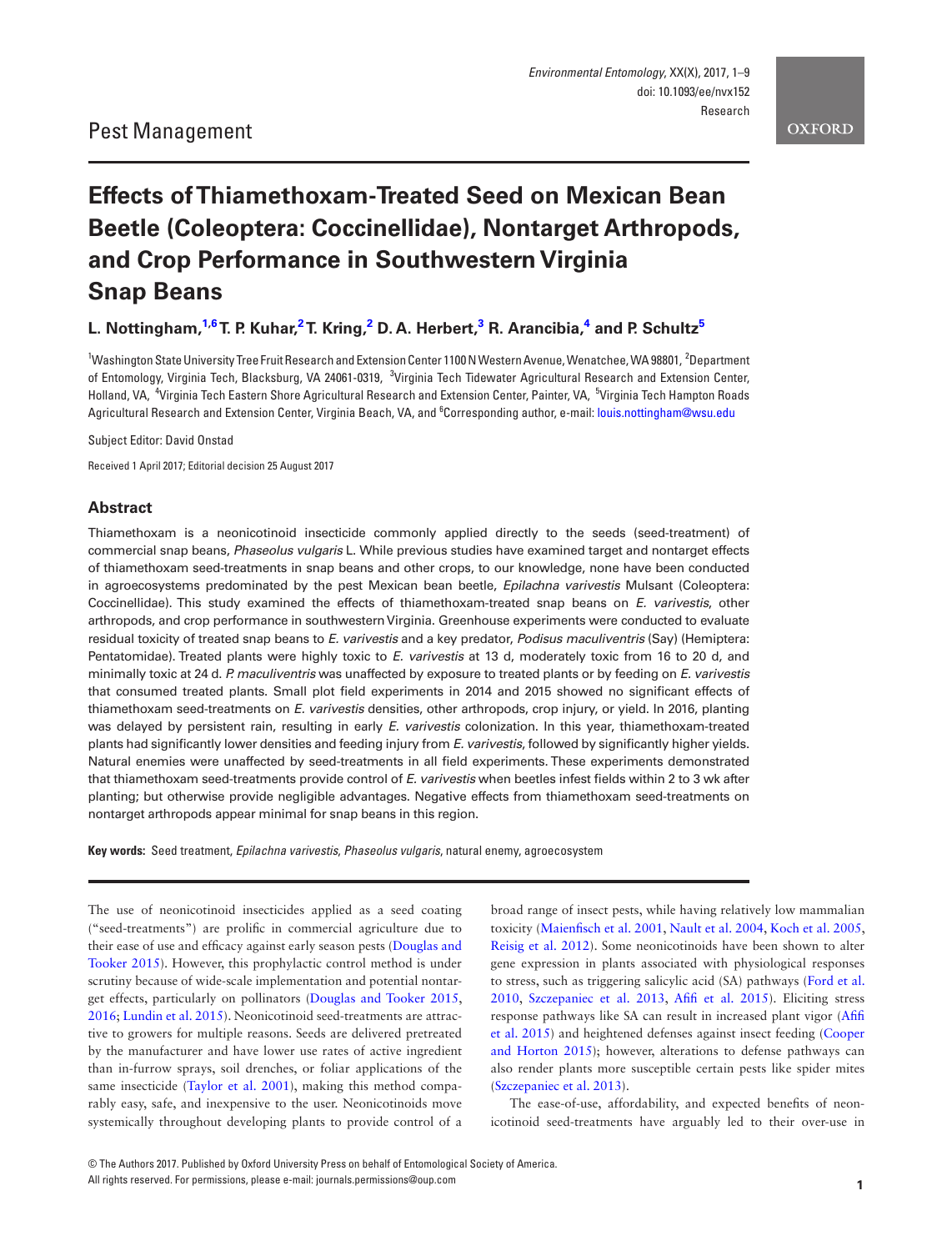# **Effects of Thiamethoxam-Treated Seed on Mexican Bean Beetle (Coleoptera: Coccinellidae), Nontarget Arthropods, and Crop Performance in Southwestern Virginia Snap Beans**

## $L$ . Nottingham, $^{1,6}$  $^{1,6}$  $^{1,6}$  $^{1,6}$ T. P. Kuhar, $^{2}$  $^{2}$  $^{2}$ T. Kring, $^{2}$  D. A. Herbert, $^{3}$  $^{3}$  $^{3}$  R. Arancibia, $^{4}$  $^{4}$  $^{4}$  and P. Schultz $^{5}$

<span id="page-0-5"></span><span id="page-0-4"></span><span id="page-0-3"></span><span id="page-0-2"></span><span id="page-0-0"></span><sup>1</sup>Washington State University Tree Fruit Research and Extension Center 1100 N Western Avenue, Wenatchee, WA 98801, <sup>2</sup>Department of Entomology, Virginia Tech, Blacksburg, VA 24061-0319, <sup>3</sup>Virginia Tech Tidewater Agricultural Research and Extension Center, Holland, VA, <sup>4</sup>Virginia Tech Eastern Shore Agricultural Research and Extension Center, Painter, VA, <sup>5</sup>Virginia Tech Hampton Roads Agricultural Research and Extension Center, Virginia Beach, VA, and <sup>6</sup>Corresponding author, e-mail: [louis.nottingham@wsu.edu](mailto:louis.nottingham@wsu.edu?subject=)

<span id="page-0-1"></span>Subject Editor: David Onstad

Received 1 April 2017; Editorial decision 25 August 2017

## **Abstract**

Thiamethoxam is a neonicotinoid insecticide commonly applied directly to the seeds (seed-treatment) of commercial snap beans, *Phaseolus vulgaris* L. While previous studies have examined target and nontarget effects of thiamethoxam seed-treatments in snap beans and other crops, to our knowledge, none have been conducted in agroecosystems predominated by the pest Mexican bean beetle, *Epilachna varivestis* Mulsant (Coleoptera: Coccinellidae). This study examined the effects of thiamethoxam-treated snap beans on *E. varivestis*, other arthropods, and crop performance in southwestern Virginia. Greenhouse experiments were conducted to evaluate residual toxicity of treated snap beans to *E. varivestis* and a key predator, *Podisus maculiventris* (Say) (Hemiptera: Pentatomidae). Treated plants were highly toxic to *E. varivestis* at 13 d, moderately toxic from 16 to 20 d, and minimally toxic at 24 d. *P. maculiventris* was unaffected by exposure to treated plants or by feeding on *E. varivestis* that consumed treated plants. Small plot field experiments in 2014 and 2015 showed no significant effects of thiamethoxam seed-treatments on *E. varivestis* densities, other arthropods, crop injury, or yield. In 2016, planting was delayed by persistent rain, resulting in early *E. varivestis* colonization. In this year, thiamethoxam-treated plants had significantly lower densities and feeding injury from *E. varivestis*, followed by significantly higher yields. Natural enemies were unaffected by seed-treatments in all field experiments. These experiments demonstrated that thiamethoxam seed-treatments provide control of *E. varivestis* when beetles infest fields within 2 to 3 wk after planting; but otherwise provide negligible advantages. Negative effects from thiamethoxam seed-treatments on nontarget arthropods appear minimal for snap beans in this region.

**Key words:** Seed treatment, *Epilachna varivestis*, *Phaseolus vulgaris*, natural enemy, agroecosystem

The use of neonicotinoid insecticides applied as a seed coating ("seed-treatments") are prolific in commercial agriculture due to their ease of use and efficacy against early season pests ([Douglas and](#page-8-0) [Tooker 2015](#page-8-0)). However, this prophylactic control method is under scrutiny because of wide-scale implementation and potential nontarget effects, particularly on pollinators [\(Douglas and Tooker 2015](#page-8-0), [2016;](#page-8-1) [Lundin et al. 2015\)](#page-8-2). Neonicotinoid seed-treatments are attractive to growers for multiple reasons. Seeds are delivered pretreated by the manufacturer and have lower use rates of active ingredient than in-furrow sprays, soil drenches, or foliar applications of the same insecticide [\(Taylor et al. 2001](#page-8-3)), making this method comparably easy, safe, and inexpensive to the user. Neonicotinoids move systemically throughout developing plants to provide control of a

broad range of insect pests, while having relatively low mammalian toxicity [\(Maienfisch et al. 2001,](#page-8-4) [Nault et al. 2004,](#page-8-5) [Koch et al. 2005](#page-8-6), [Reisig et al. 2012\)](#page-8-7). Some neonicotinoids have been shown to alter gene expression in plants associated with physiological responses to stress, such as triggering salicylic acid (SA) pathways [\(Ford et al.](#page-8-8) [2010,](#page-8-8) [Szczepaniec et al. 2013,](#page-8-9) [Afifi et al. 2015](#page-8-10)). Eliciting stress response pathways like SA can result in increased plant vigor [\(Afifi](#page-8-10)  [et al. 2015](#page-8-10)) and heightened defenses against insect feeding [\(Cooper](#page-8-11) [and Horton 2015\)](#page-8-11); however, alterations to defense pathways can also render plants more susceptible certain pests like spider mites ([Szczepaniec et al. 2013\)](#page-8-9).

The ease-of-use, affordability, and expected benefits of neonicotinoid seed-treatments have arguably led to their over-use in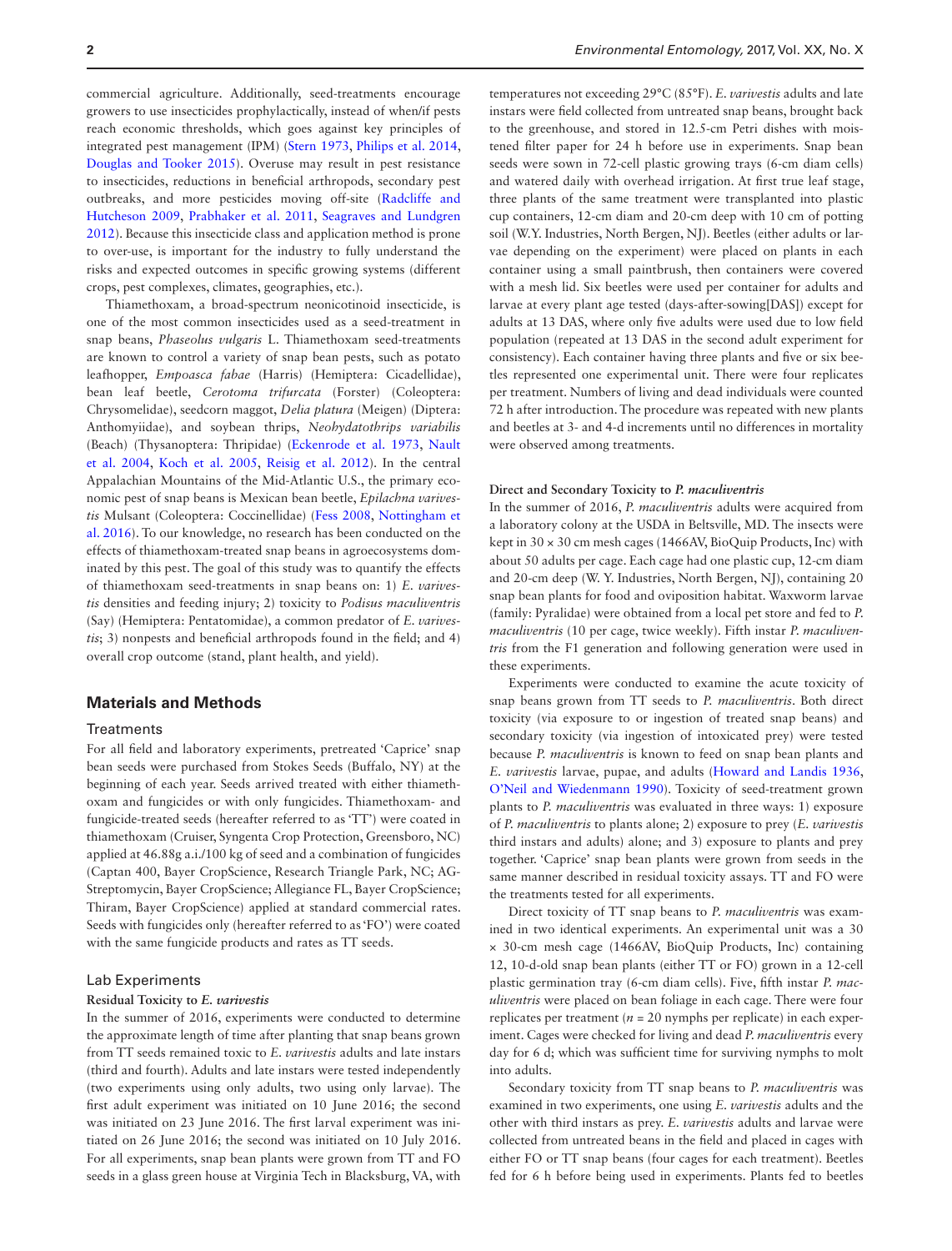commercial agriculture. Additionally, seed-treatments encourage growers to use insecticides prophylactically, instead of when/if pests reach economic thresholds, which goes against key principles of integrated pest management (IPM) [\(Stern 1973](#page-8-12), [Philips et al. 2014](#page-8-13), [Douglas and Tooker 2015\)](#page-8-0). Overuse may result in pest resistance to insecticides, reductions in beneficial arthropods, secondary pest outbreaks, and more pesticides moving off-site ([Radcliffe and](#page-8-14) [Hutcheson 2009,](#page-8-14) [Prabhaker et al. 2011](#page-8-15), [Seagraves and Lundgren](#page-8-16) [2012\)](#page-8-16). Because this insecticide class and application method is prone to over-use, is important for the industry to fully understand the risks and expected outcomes in specific growing systems (different crops, pest complexes, climates, geographies, etc.).

Thiamethoxam, a broad-spectrum neonicotinoid insecticide, is one of the most common insecticides used as a seed-treatment in snap beans, *Phaseolus vulgaris* L. Thiamethoxam seed-treatments are known to control a variety of snap bean pests, such as potato leafhopper, *Empoasca fabae* (Harris) (Hemiptera: Cicadellidae), bean leaf beetle, *Cerotoma trifurcata* (Forster) (Coleoptera: Chrysomelidae), seedcorn maggot, *Delia platura* (Meigen) (Diptera: Anthomyiidae), and soybean thrips, *Neohydatothrips variabilis* (Beach) (Thysanoptera: Thripidae) ([Eckenrode et al. 1973](#page-8-17), [Nault](#page-8-5) [et al. 2004,](#page-8-5) [Koch et al. 2005](#page-8-6), [Reisig et al. 2012](#page-8-7)). In the central Appalachian Mountains of the Mid-Atlantic U.S., the primary economic pest of snap beans is Mexican bean beetle, *Epilachna varivestis* Mulsant (Coleoptera: Coccinellidae) [\(Fess 2008](#page-8-18), [Nottingham et](#page-8-19) [al. 2016](#page-8-19)). To our knowledge, no research has been conducted on the effects of thiamethoxam-treated snap beans in agroecosystems dominated by this pest. The goal of this study was to quantify the effects of thiamethoxam seed-treatments in snap beans on: 1) *E. varivestis* densities and feeding injury; 2) toxicity to *Podisus maculiventris* (Say) (Hemiptera: Pentatomidae), a common predator of *E. varivestis*; 3) nonpests and beneficial arthropods found in the field; and 4) overall crop outcome (stand, plant health, and yield).

## **Materials and Methods**

#### **Treatments**

For all field and laboratory experiments, pretreated 'Caprice' snap bean seeds were purchased from Stokes Seeds (Buffalo, NY) at the beginning of each year. Seeds arrived treated with either thiamethoxam and fungicides or with only fungicides. Thiamethoxam- and fungicide-treated seeds (hereafter referred to as 'TT') were coated in thiamethoxam (Cruiser, Syngenta Crop Protection, Greensboro, NC) applied at 46.88g a.i./100 kg of seed and a combination of fungicides (Captan 400, Bayer CropScience, Research Triangle Park, NC; AG-Streptomycin, Bayer CropScience; Allegiance FL, Bayer CropScience; Thiram, Bayer CropScience) applied at standard commercial rates. Seeds with fungicides only (hereafter referred to as 'FO') were coated with the same fungicide products and rates as TT seeds.

#### Lab Experiments

### **Residual Toxicity to** *E. varivestis*

In the summer of 2016, experiments were conducted to determine the approximate length of time after planting that snap beans grown from TT seeds remained toxic to *E. varivestis* adults and late instars (third and fourth). Adults and late instars were tested independently (two experiments using only adults, two using only larvae). The first adult experiment was initiated on 10 June 2016; the second was initiated on 23 June 2016. The first larval experiment was initiated on 26 June 2016; the second was initiated on 10 July 2016. For all experiments, snap bean plants were grown from TT and FO seeds in a glass green house at Virginia Tech in Blacksburg, VA, with temperatures not exceeding 29°C (85°F). *E. varivestis* adults and late instars were field collected from untreated snap beans, brought back to the greenhouse, and stored in 12.5-cm Petri dishes with moistened filter paper for 24 h before use in experiments. Snap bean seeds were sown in 72-cell plastic growing trays (6-cm diam cells) and watered daily with overhead irrigation. At first true leaf stage, three plants of the same treatment were transplanted into plastic cup containers, 12-cm diam and 20-cm deep with 10 cm of potting soil (W.Y. Industries, North Bergen, NJ). Beetles (either adults or larvae depending on the experiment) were placed on plants in each container using a small paintbrush, then containers were covered with a mesh lid. Six beetles were used per container for adults and larvae at every plant age tested (days-after-sowing[DAS]) except for adults at 13 DAS, where only five adults were used due to low field population (repeated at 13 DAS in the second adult experiment for consistency). Each container having three plants and five or six beetles represented one experimental unit. There were four replicates per treatment. Numbers of living and dead individuals were counted 72 h after introduction. The procedure was repeated with new plants and beetles at 3- and 4-d increments until no differences in mortality were observed among treatments.

#### **Direct and Secondary Toxicity to** *P. maculiventris*

In the summer of 2016, *P. maculiventris* adults were acquired from a laboratory colony at the USDA in Beltsville, MD. The insects were kept in 30 × 30 cm mesh cages (1466AV, BioQuip Products, Inc) with about 50 adults per cage. Each cage had one plastic cup, 12-cm diam and 20-cm deep (W. Y. Industries, North Bergen, NJ), containing 20 snap bean plants for food and oviposition habitat. Waxworm larvae (family: Pyralidae) were obtained from a local pet store and fed to *P. maculiventris* (10 per cage, twice weekly). Fifth instar *P. maculiventris* from the F1 generation and following generation were used in these experiments.

Experiments were conducted to examine the acute toxicity of snap beans grown from TT seeds to *P. maculiventris*. Both direct toxicity (via exposure to or ingestion of treated snap beans) and secondary toxicity (via ingestion of intoxicated prey) were tested because *P. maculiventris* is known to feed on snap bean plants and *E. varivestis* larvae, pupae, and adults [\(Howard and Landis 1936](#page-8-20), [O'Neil and Wiedenmann 1990](#page-8-21)). Toxicity of seed-treatment grown plants to *P. maculiventris* was evaluated in three ways: 1) exposure of *P. maculiventris* to plants alone; 2) exposure to prey (*E. varivestis* third instars and adults) alone; and 3) exposure to plants and prey together. 'Caprice' snap bean plants were grown from seeds in the same manner described in residual toxicity assays. TT and FO were the treatments tested for all experiments.

Direct toxicity of TT snap beans to *P. maculiventris* was examined in two identical experiments. An experimental unit was a 30 × 30-cm mesh cage (1466AV, BioQuip Products, Inc) containing 12, 10-d-old snap bean plants (either TT or FO) grown in a 12-cell plastic germination tray (6-cm diam cells). Five, fifth instar *P. maculiventris* were placed on bean foliage in each cage. There were four replicates per treatment ( $n = 20$  nymphs per replicate) in each experiment. Cages were checked for living and dead *P. maculiventris* every day for 6 d; which was sufficient time for surviving nymphs to molt into adults.

Secondary toxicity from TT snap beans to *P. maculiventris* was examined in two experiments, one using *E. varivestis* adults and the other with third instars as prey. *E. varivestis* adults and larvae were collected from untreated beans in the field and placed in cages with either FO or TT snap beans (four cages for each treatment). Beetles fed for 6 h before being used in experiments. Plants fed to beetles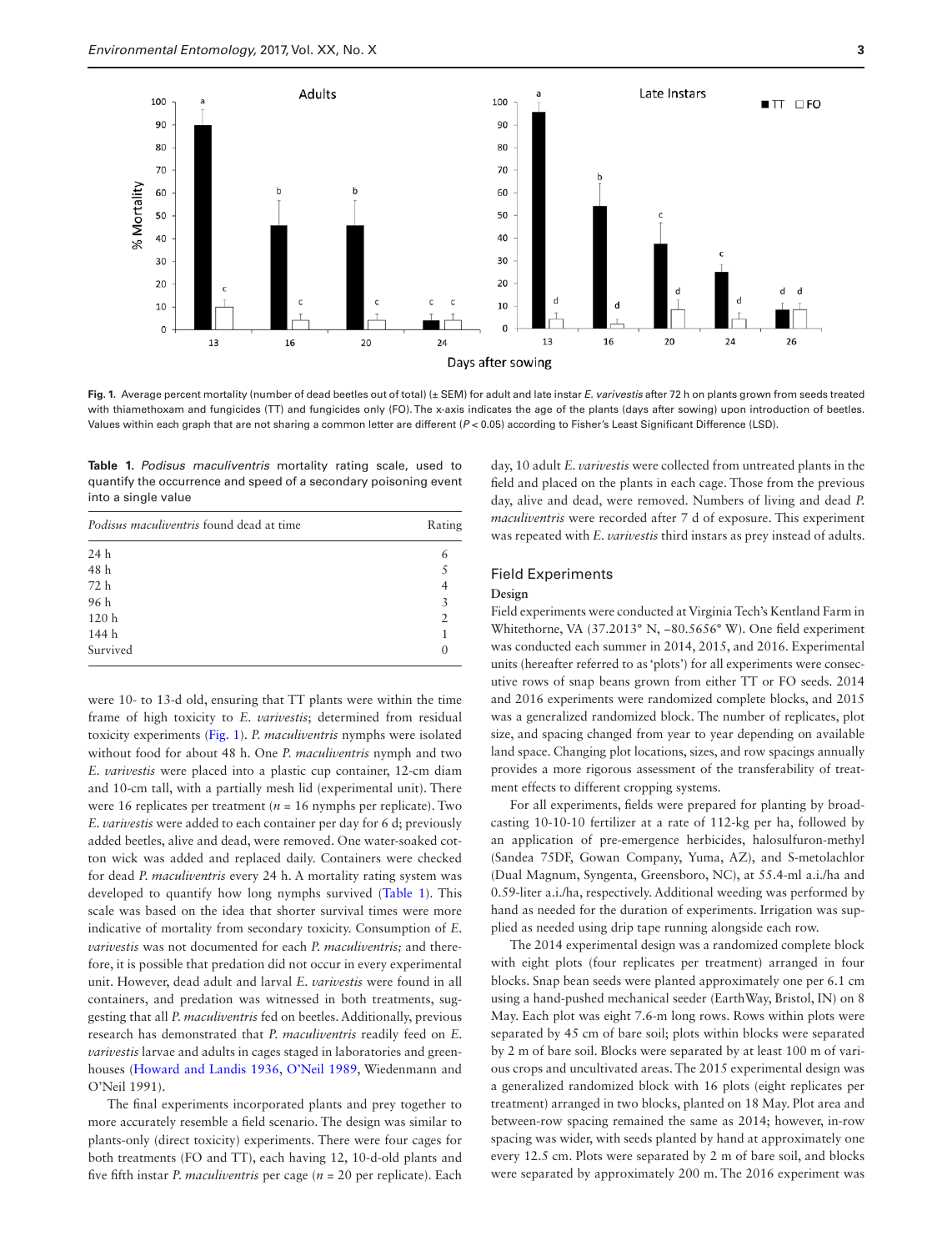

<span id="page-2-0"></span>**Fig. 1.** Average percent mortality (number of dead beetles out of total) (± SEM) for adult and late instar *E. varivestis* after 72 h on plants grown from seeds treated with thiamethoxam and fungicides (TT) and fungicides only (FO). The x-axis indicates the age of the plants (days after sowing) upon introduction of beetles. Values within each graph that are not sharing a common letter are different (*P* < 0.05) according to Fisher's Least Significant Difference (LSD).

<span id="page-2-1"></span>**Table 1.** *Podisus maculiventris* mortality rating scale, used to quantify the occurrence and speed of a secondary poisoning event into a single value

| <i>Podisus maculiventris</i> found dead at time | Rating         |
|-------------------------------------------------|----------------|
| 24 h                                            | 6              |
| 48 h                                            | 5              |
| 72 h                                            | 4              |
| 96 h                                            | 3              |
| 120 <sub>h</sub>                                | $\mathfrak{D}$ |
| 144 h                                           | 1              |
| Survived                                        |                |

were 10- to 13-d old, ensuring that TT plants were within the time frame of high toxicity to *E. varivestis*; determined from residual toxicity experiments ([Fig. 1](#page-2-0)). *P. maculiventris* nymphs were isolated without food for about 48 h. One *P. maculiventris* nymph and two *E. varivestis* were placed into a plastic cup container, 12-cm diam and 10-cm tall, with a partially mesh lid (experimental unit). There were 16 replicates per treatment ( $n = 16$  nymphs per replicate). Two *E. varivestis* were added to each container per day for 6 d; previously added beetles, alive and dead, were removed. One water-soaked cotton wick was added and replaced daily. Containers were checked for dead *P. maculiventris* every 24 h. A mortality rating system was developed to quantify how long nymphs survived [\(Table 1](#page-2-1)). This scale was based on the idea that shorter survival times were more indicative of mortality from secondary toxicity. Consumption of *E. varivestis* was not documented for each *P. maculiventris;* and therefore, it is possible that predation did not occur in every experimental unit. However, dead adult and larval *E. varivestis* were found in all containers, and predation was witnessed in both treatments, suggesting that all *P. maculiventris* fed on beetles. Additionally, previous research has demonstrated that *P. maculiventris* readily feed on *E. varivestis* larvae and adults in cages staged in laboratories and greenhouses ([Howard and Landis 1936,](#page-8-20) [O'Neil 1989](#page-8-22), Wiedenmann and O'Neil 1991).

The final experiments incorporated plants and prey together to more accurately resemble a field scenario. The design was similar to plants-only (direct toxicity) experiments. There were four cages for both treatments (FO and TT), each having 12, 10-d-old plants and five fifth instar *P. maculiventris* per cage (*n* = 20 per replicate). Each day, 10 adult *E. varivestis* were collected from untreated plants in the field and placed on the plants in each cage. Those from the previous day, alive and dead, were removed. Numbers of living and dead *P. maculiventris* were recorded after 7 d of exposure. This experiment was repeated with *E. varivestis* third instars as prey instead of adults.

#### Field Experiments

#### **Design**

Field experiments were conducted at Virginia Tech's Kentland Farm in Whitethorne, VA (37.2013° N, −80.5656° W). One field experiment was conducted each summer in 2014, 2015, and 2016. Experimental units (hereafter referred to as 'plots') for all experiments were consecutive rows of snap beans grown from either TT or FO seeds. 2014 and 2016 experiments were randomized complete blocks, and 2015 was a generalized randomized block. The number of replicates, plot size, and spacing changed from year to year depending on available land space. Changing plot locations, sizes, and row spacings annually provides a more rigorous assessment of the transferability of treatment effects to different cropping systems.

For all experiments, fields were prepared for planting by broadcasting 10-10-10 fertilizer at a rate of 112-kg per ha, followed by an application of pre-emergence herbicides, halosulfuron-methyl (Sandea 75DF, Gowan Company, Yuma, AZ), and S-metolachlor (Dual Magnum, Syngenta, Greensboro, NC), at 55.4-ml a.i./ha and 0.59-liter a.i./ha, respectively. Additional weeding was performed by hand as needed for the duration of experiments. Irrigation was supplied as needed using drip tape running alongside each row.

The 2014 experimental design was a randomized complete block with eight plots (four replicates per treatment) arranged in four blocks. Snap bean seeds were planted approximately one per 6.1 cm using a hand-pushed mechanical seeder (EarthWay, Bristol, IN) on 8 May. Each plot was eight 7.6-m long rows. Rows within plots were separated by 45 cm of bare soil; plots within blocks were separated by 2 m of bare soil. Blocks were separated by at least 100 m of various crops and uncultivated areas. The 2015 experimental design was a generalized randomized block with 16 plots (eight replicates per treatment) arranged in two blocks, planted on 18 May. Plot area and between-row spacing remained the same as 2014; however, in-row spacing was wider, with seeds planted by hand at approximately one every 12.5 cm. Plots were separated by 2 m of bare soil, and blocks were separated by approximately 200 m. The 2016 experiment was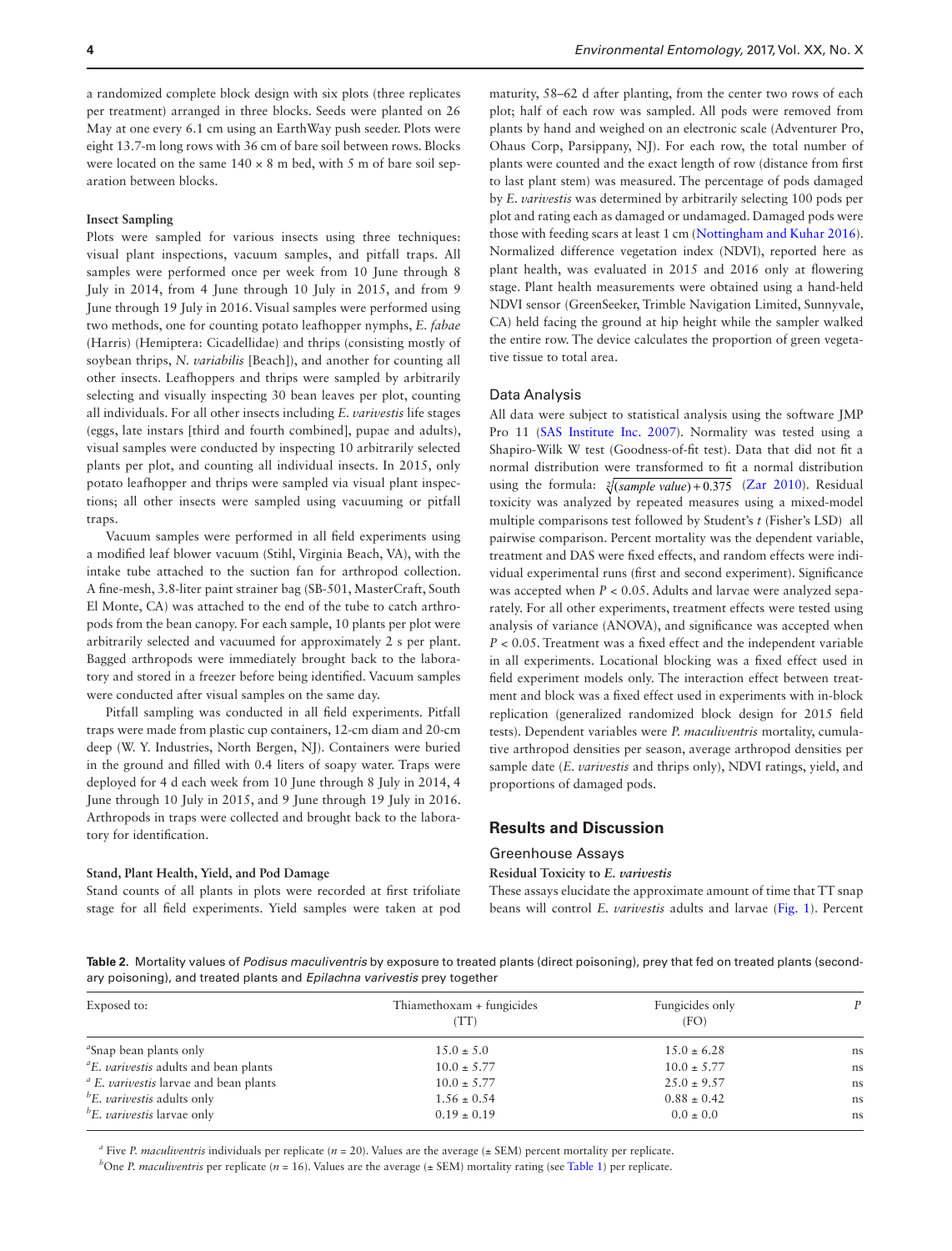a randomized complete block design with six plots (three replicates per treatment) arranged in three blocks. Seeds were planted on 26 May at one every 6.1 cm using an EarthWay push seeder. Plots were eight 13.7-m long rows with 36 cm of bare soil between rows. Blocks were located on the same  $140 \times 8$  m bed, with 5 m of bare soil separation between blocks.

#### **Insect Sampling**

Plots were sampled for various insects using three techniques: visual plant inspections, vacuum samples, and pitfall traps. All samples were performed once per week from 10 June through 8 July in 2014, from 4 June through 10 July in 2015, and from 9 June through 19 July in 2016. Visual samples were performed using two methods, one for counting potato leafhopper nymphs, *E. fabae* (Harris) (Hemiptera: Cicadellidae) and thrips (consisting mostly of soybean thrips, *N. variabilis* [Beach]), and another for counting all other insects. Leafhoppers and thrips were sampled by arbitrarily selecting and visually inspecting 30 bean leaves per plot, counting all individuals. For all other insects including *E. varivestis* life stages (eggs, late instars [third and fourth combined], pupae and adults), visual samples were conducted by inspecting 10 arbitrarily selected plants per plot, and counting all individual insects. In 2015, only potato leafhopper and thrips were sampled via visual plant inspections; all other insects were sampled using vacuuming or pitfall traps.

Vacuum samples were performed in all field experiments using a modified leaf blower vacuum (Stihl, Virginia Beach, VA), with the intake tube attached to the suction fan for arthropod collection. A fine-mesh, 3.8-liter paint strainer bag (SB-501, MasterCraft, South El Monte, CA) was attached to the end of the tube to catch arthropods from the bean canopy. For each sample, 10 plants per plot were arbitrarily selected and vacuumed for approximately 2 s per plant. Bagged arthropods were immediately brought back to the laboratory and stored in a freezer before being identified. Vacuum samples were conducted after visual samples on the same day.

Pitfall sampling was conducted in all field experiments. Pitfall traps were made from plastic cup containers, 12-cm diam and 20-cm deep (W. Y. Industries, North Bergen, NJ). Containers were buried in the ground and filled with 0.4 liters of soapy water. Traps were deployed for 4 d each week from 10 June through 8 July in 2014, 4 June through 10 July in 2015, and 9 June through 19 July in 2016. Arthropods in traps were collected and brought back to the laboratory for identification.

#### **Stand, Plant Health, Yield, and Pod Damage**

Stand counts of all plants in plots were recorded at first trifoliate stage for all field experiments. Yield samples were taken at pod maturity, 58–62 d after planting, from the center two rows of each plot; half of each row was sampled. All pods were removed from plants by hand and weighed on an electronic scale (Adventurer Pro, Ohaus Corp, Parsippany, NJ). For each row, the total number of plants were counted and the exact length of row (distance from first to last plant stem) was measured. The percentage of pods damaged by *E. varivestis* was determined by arbitrarily selecting 100 pods per plot and rating each as damaged or undamaged. Damaged pods were those with feeding scars at least 1 cm ([Nottingham and Kuhar 2016\)](#page-8-19). Normalized difference vegetation index (NDVI), reported here as plant health, was evaluated in 2015 and 2016 only at flowering stage. Plant health measurements were obtained using a hand-held NDVI sensor (GreenSeeker, Trimble Navigation Limited, Sunnyvale, CA) held facing the ground at hip height while the sampler walked the entire row. The device calculates the proportion of green vegetative tissue to total area.

#### Data Analysis

All data were subject to statistical analysis using the software JMP Pro 11 [\(SAS Institute Inc. 2007](#page-8-23)). Normality was tested using a Shapiro-Wilk W test (Goodness-of-fit test). Data that did not fit a normal distribution were transformed to fit a normal distribution using the formula:  $\sqrt[2]{(sample value) + 0.375}$  ([Zar 2010\)](#page-8-24). Residual toxicity was analyzed by repeated measures using a mixed-model multiple comparisons test followed by Student's *t* (Fisher's LSD) all pairwise comparison. Percent mortality was the dependent variable, treatment and DAS were fixed effects, and random effects were individual experimental runs (first and second experiment). Significance was accepted when *P* < 0.05. Adults and larvae were analyzed separately. For all other experiments, treatment effects were tested using analysis of variance (ANOVA), and significance was accepted when *P* < 0.05. Treatment was a fixed effect and the independent variable in all experiments. Locational blocking was a fixed effect used in field experiment models only. The interaction effect between treatment and block was a fixed effect used in experiments with in-block replication (generalized randomized block design for 2015 field tests). Dependent variables were *P. maculiventris* mortality, cumulative arthropod densities per season, average arthropod densities per sample date (*E. varivestis* and thrips only), NDVI ratings, yield, and proportions of damaged pods.

## **Results and Discussion**

#### Greenhouse Assays

**Residual Toxicity to** *E. varivestis*

These assays elucidate the approximate amount of time that TT snap beans will control *E. varivestis* adults and larvae ([Fig. 1\)](#page-2-0). Percent

<span id="page-3-0"></span>**Table 2.** Mortality values of *Podisus maculiventris* by exposure to treated plants (direct poisoning), prey that fed on treated plants (secondary poisoning), and treated plants and *Epilachna varivestis* prey together

| Exposed to:                                          | Thiamethoxam + fungicides<br>(TT) | Fungicides only<br>(FO) | P  |
|------------------------------------------------------|-----------------------------------|-------------------------|----|
| "Snap bean plants only"                              | $15.0 \pm 5.0$                    | $15.0 \pm 6.28$         | ns |
| <sup>a</sup> E. varivestis adults and bean plants    | $10.0 \pm 5.77$                   | $10.0 \pm 5.77$         | ns |
| $\alpha$ E. <i>varivestis</i> larvae and bean plants | $10.0 \pm 5.77$                   | $25.0 \pm 9.57$         | ns |
| $E$ . <i>varivestis</i> adults only                  | $1.56 \pm 0.54$                   | $0.88 \pm 0.42$         | ns |
| $E$ . <i>varivestis</i> larvae only                  | $0.19 \pm 0.19$                   | $0.0 \pm 0.0$           | ns |

<sup>a</sup> Five *P. maculiventris* individuals per replicate ( $n = 20$ ). Values are the average ( $\pm$  SEM) percent mortality per replicate.

<sup>*b*</sup>One *P. maculiventris* per replicate (*n* = 16). Values are the average ( $\pm$  SEM) mortality rating (see [Table 1](#page-2-1)) per replicate.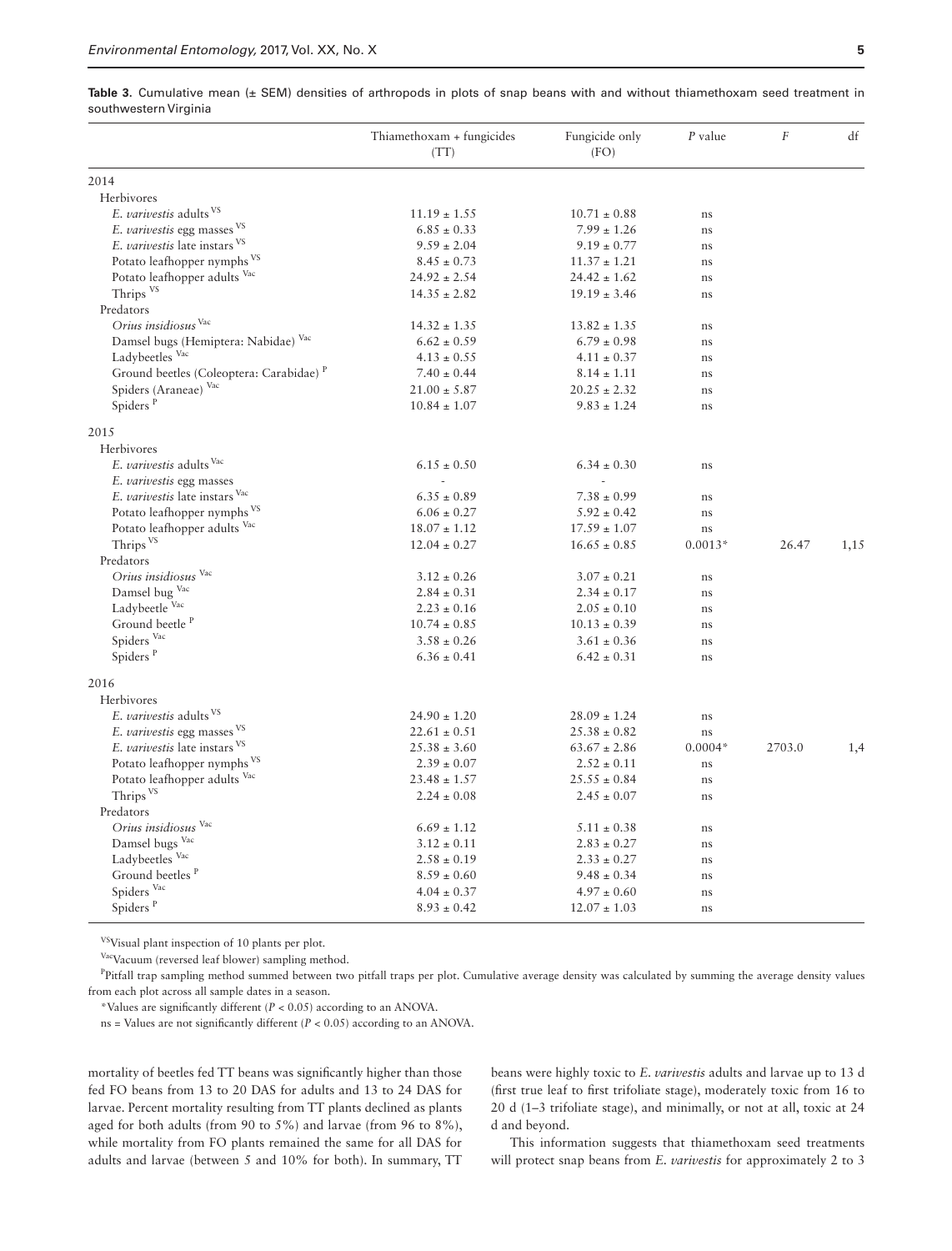<span id="page-4-0"></span>

| Table 3. Cumulative mean $(±$ SEM) densities of arthropods in plots of snap beans with and without thiamethoxam seed treatment in |  |  |  |  |  |  |  |  |  |
|-----------------------------------------------------------------------------------------------------------------------------------|--|--|--|--|--|--|--|--|--|
| southwestern Virginia                                                                                                             |  |  |  |  |  |  |  |  |  |

|                                                     | Thiamethoxam + fungicides<br>(TT) |                  |           | $\cal F$ | df   |  |
|-----------------------------------------------------|-----------------------------------|------------------|-----------|----------|------|--|
| 2014                                                |                                   |                  |           |          |      |  |
| Herbivores                                          |                                   |                  |           |          |      |  |
| E. varivestis adults <sup>VS</sup>                  | $11.19 \pm 1.55$                  | $10.71 \pm 0.88$ | ns        |          |      |  |
| E. varivestis egg masses VS                         | $6.85 \pm 0.33$                   | $7.99 \pm 1.26$  | ns        |          |      |  |
| E. varivestis late instars VS                       | $9.59 \pm 2.04$                   | $9.19 \pm 0.77$  | ns        |          |      |  |
| Potato leafhopper nymphs <sup>VS</sup>              | $8.45 \pm 0.73$                   | $11.37 \pm 1.21$ | ns        |          |      |  |
| Potato leafhopper adults Vac                        | $24.92 \pm 2.54$                  | $24.42 \pm 1.62$ | ns        |          |      |  |
| Thrips <sup>VS</sup>                                | $14.35 \pm 2.82$                  | $19.19 \pm 3.46$ | ns        |          |      |  |
| Predators                                           |                                   |                  |           |          |      |  |
| Orius insidiosus Vac                                | $14.32 \pm 1.35$                  | $13.82 \pm 1.35$ | ns        |          |      |  |
| Damsel bugs (Hemiptera: Nabidae) Vac                | $6.62 \pm 0.59$                   | $6.79 \pm 0.98$  | ns        |          |      |  |
| Ladybeetles Vac                                     | $4.13 \pm 0.55$                   | $4.11 \pm 0.37$  | ns        |          |      |  |
| Ground beetles (Coleoptera: Carabidae) <sup>P</sup> | $7.40 \pm 0.44$                   | $8.14 \pm 1.11$  | ns        |          |      |  |
| Spiders (Araneae) Vac                               | $21.00 \pm 5.87$                  | $20.25 \pm 2.32$ | ns        |          |      |  |
| Spiders <sup>P</sup>                                | $10.84 \pm 1.07$                  | $9.83 \pm 1.24$  | ns        |          |      |  |
| 2015                                                |                                   |                  |           |          |      |  |
| Herbivores                                          |                                   |                  |           |          |      |  |
| E. varivestis adults Vac                            | $6.15 \pm 0.50$                   | $6.34 \pm 0.30$  | ns        |          |      |  |
| E. varivestis egg masses                            |                                   |                  |           |          |      |  |
| E. varivestis late instars Vac                      | $6.35 \pm 0.89$                   | $7.38 \pm 0.99$  | ns        |          |      |  |
| Potato leafhopper nymphs <sup>VS</sup>              | $6.06 \pm 0.27$                   | $5.92 \pm 0.42$  | ns        |          |      |  |
| Potato leafhopper adults Vac                        | $18.07 \pm 1.12$                  | $17.59 \pm 1.07$ | ns        |          |      |  |
| Thrips <sup>VS</sup>                                | $12.04 \pm 0.27$                  | $16.65 \pm 0.85$ | $0.0013*$ | 26.47    | 1,15 |  |
| Predators                                           |                                   |                  |           |          |      |  |
| Orius insidiosus Vac                                | $3.12 \pm 0.26$                   | $3.07 \pm 0.21$  | ns        |          |      |  |
| Damsel bug Vac                                      | $2.84 \pm 0.31$                   | $2.34 \pm 0.17$  | ns        |          |      |  |
| Ladybeetle Vac                                      | $2.23 \pm 0.16$                   | $2.05 \pm 0.10$  | ns        |          |      |  |
| Ground beetle <sup>P</sup>                          | $10.74 \pm 0.85$                  | $10.13 \pm 0.39$ | ns        |          |      |  |
| Spiders Vac                                         | $3.58 \pm 0.26$                   | $3.61 \pm 0.36$  | ns        |          |      |  |
| Spiders <sup>P</sup>                                | $6.36 \pm 0.41$                   | $6.42 \pm 0.31$  | ns        |          |      |  |
| 2016                                                |                                   |                  |           |          |      |  |
| Herbivores                                          |                                   |                  |           |          |      |  |
| E. varivestis adults <sup>VS</sup>                  | $24.90 \pm 1.20$                  | $28.09 \pm 1.24$ | ns        |          |      |  |
| E. <i>varivestis</i> egg masses <sup>VS</sup>       | $22.61 \pm 0.51$                  | $25.38 \pm 0.82$ | ns        |          |      |  |
| E. varivestis late instars VS                       | $25.38 \pm 3.60$                  | $63.67 \pm 2.86$ | $0.0004*$ | 2703.0   | 1,4  |  |
| Potato leafhopper nymphs VS                         | $2.39 \pm 0.07$                   | $2.52 \pm 0.11$  | ns        |          |      |  |
| Potato leafhopper adults Vac                        | $23.48 \pm 1.57$                  | $25.55 \pm 0.84$ | ns        |          |      |  |
| Thrips <sup>VS</sup>                                | $2.24 \pm 0.08$                   | $2.45 \pm 0.07$  | ns        |          |      |  |
| Predators                                           |                                   |                  |           |          |      |  |
| Orius insidiosus Vac                                | $6.69 \pm 1.12$                   | $5.11 \pm 0.38$  | ns        |          |      |  |
| Damsel bugs Vac                                     | $3.12 \pm 0.11$                   | $2.83 \pm 0.27$  | ns        |          |      |  |
| Ladybeetles Vac                                     | $2.58 \pm 0.19$                   | $2.33 \pm 0.27$  | ns        |          |      |  |
| Ground beetles <sup>P</sup>                         | $8.59 \pm 0.60$                   | $9.48 \pm 0.34$  | ns        |          |      |  |
| Spiders Vac                                         | $4.04 \pm 0.37$                   | $4.97 \pm 0.60$  | ns        |          |      |  |
| Spiders <sup>P</sup>                                | $8.93 \pm 0.42$                   | $12.07 \pm 1.03$ | ns        |          |      |  |

VSVisual plant inspection of 10 plants per plot.

VacVacuum (reversed leaf blower) sampling method.

<sup>P</sup>Pitfall trap sampling method summed between two pitfall traps per plot. Cumulative average density was calculated by summing the average density values from each plot across all sample dates in a season.

\*Values are significantly different (*P* < 0.05) according to an ANOVA.

ns = Values are not significantly different (*P* < 0.05) according to an ANOVA.

mortality of beetles fed TT beans was significantly higher than those fed FO beans from 13 to 20 DAS for adults and 13 to 24 DAS for larvae. Percent mortality resulting from TT plants declined as plants aged for both adults (from 90 to 5%) and larvae (from 96 to 8%), while mortality from FO plants remained the same for all DAS for adults and larvae (between 5 and 10% for both). In summary, TT

beans were highly toxic to *E. varivestis* adults and larvae up to 13 d (first true leaf to first trifoliate stage), moderately toxic from 16 to 20 d (1–3 trifoliate stage), and minimally, or not at all, toxic at 24 d and beyond.

This information suggests that thiamethoxam seed treatments will protect snap beans from *E. varivestis* for approximately 2 to 3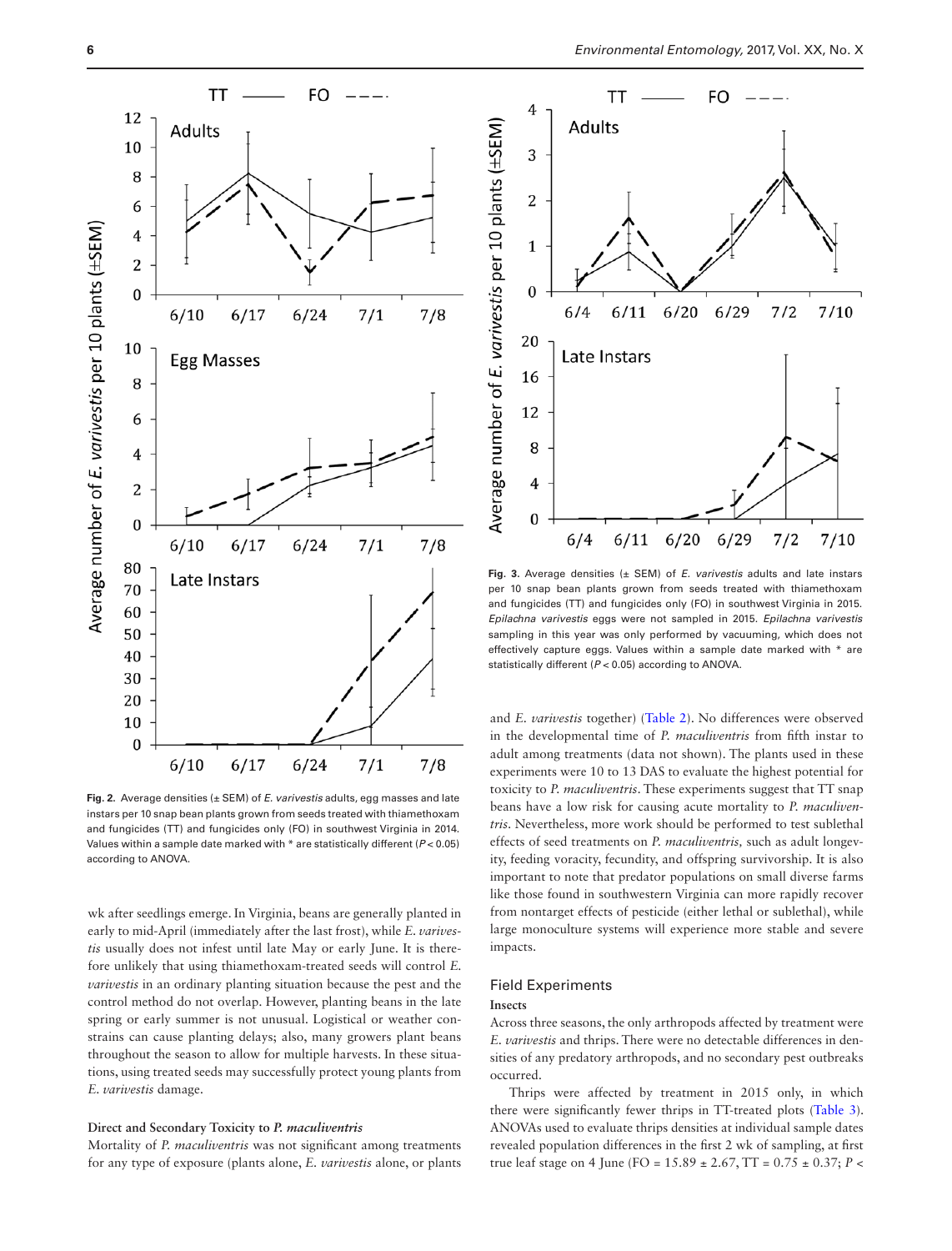

<span id="page-5-0"></span>**Fig. 2.** Average densities (± SEM) of *E. varivestis* adults, egg masses and late instars per 10 snap bean plants grown from seeds treated with thiamethoxam and fungicides (TT) and fungicides only (FO) in southwest Virginia in 2014. Values within a sample date marked with \* are statistically different (*P* < 0.05) according to ANOVA.

wk after seedlings emerge. In Virginia, beans are generally planted in early to mid-April (immediately after the last frost), while *E. varivestis* usually does not infest until late May or early June. It is therefore unlikely that using thiamethoxam-treated seeds will control *E. varivestis* in an ordinary planting situation because the pest and the control method do not overlap. However, planting beans in the late spring or early summer is not unusual. Logistical or weather constrains can cause planting delays; also, many growers plant beans throughout the season to allow for multiple harvests. In these situations, using treated seeds may successfully protect young plants from *E. varivestis* damage.

#### **Direct and Secondary Toxicity to** *P. maculiventris*

Mortality of *P. maculiventris* was not significant among treatments for any type of exposure (plants alone, *E. varivestis* alone, or plants



**Fig. 3.** Average densities (± SEM) of *E. varivestis* adults and late instars per 10 snap bean plants grown from seeds treated with thiamethoxam and fungicides (TT) and fungicides only (FO) in southwest Virginia in 2015. *Epilachna varivestis* eggs were not sampled in 2015. *Epilachna varivestis* sampling in this year was only performed by vacuuming, which does not effectively capture eggs. Values within a sample date marked with \* are statistically different (*P* < 0.05) according to ANOVA.

and *E. varivestis* together) ([Table 2\)](#page-3-0). No differences were observed in the developmental time of *P. maculiventris* from fifth instar to adult among treatments (data not shown). The plants used in these experiments were 10 to 13 DAS to evaluate the highest potential for toxicity to *P. maculiventris*. These experiments suggest that TT snap beans have a low risk for causing acute mortality to *P. maculiventris*. Nevertheless, more work should be performed to test sublethal effects of seed treatments on *P. maculiventris,* such as adult longevity, feeding voracity, fecundity, and offspring survivorship. It is also important to note that predator populations on small diverse farms like those found in southwestern Virginia can more rapidly recover from nontarget effects of pesticide (either lethal or sublethal), while large monoculture systems will experience more stable and severe impacts.

## Field Experiments

#### **Insects**

Across three seasons, the only arthropods affected by treatment were *E. varivestis* and thrips. There were no detectable differences in densities of any predatory arthropods, and no secondary pest outbreaks occurred.

Thrips were affected by treatment in 2015 only, in which there were significantly fewer thrips in TT-treated plots [\(Table 3\)](#page-4-0). ANOVAs used to evaluate thrips densities at individual sample dates revealed population differences in the first 2 wk of sampling, at first true leaf stage on 4 June (FO = 15.89 ± 2.67, TT = 0.75 ± 0.37; *P* <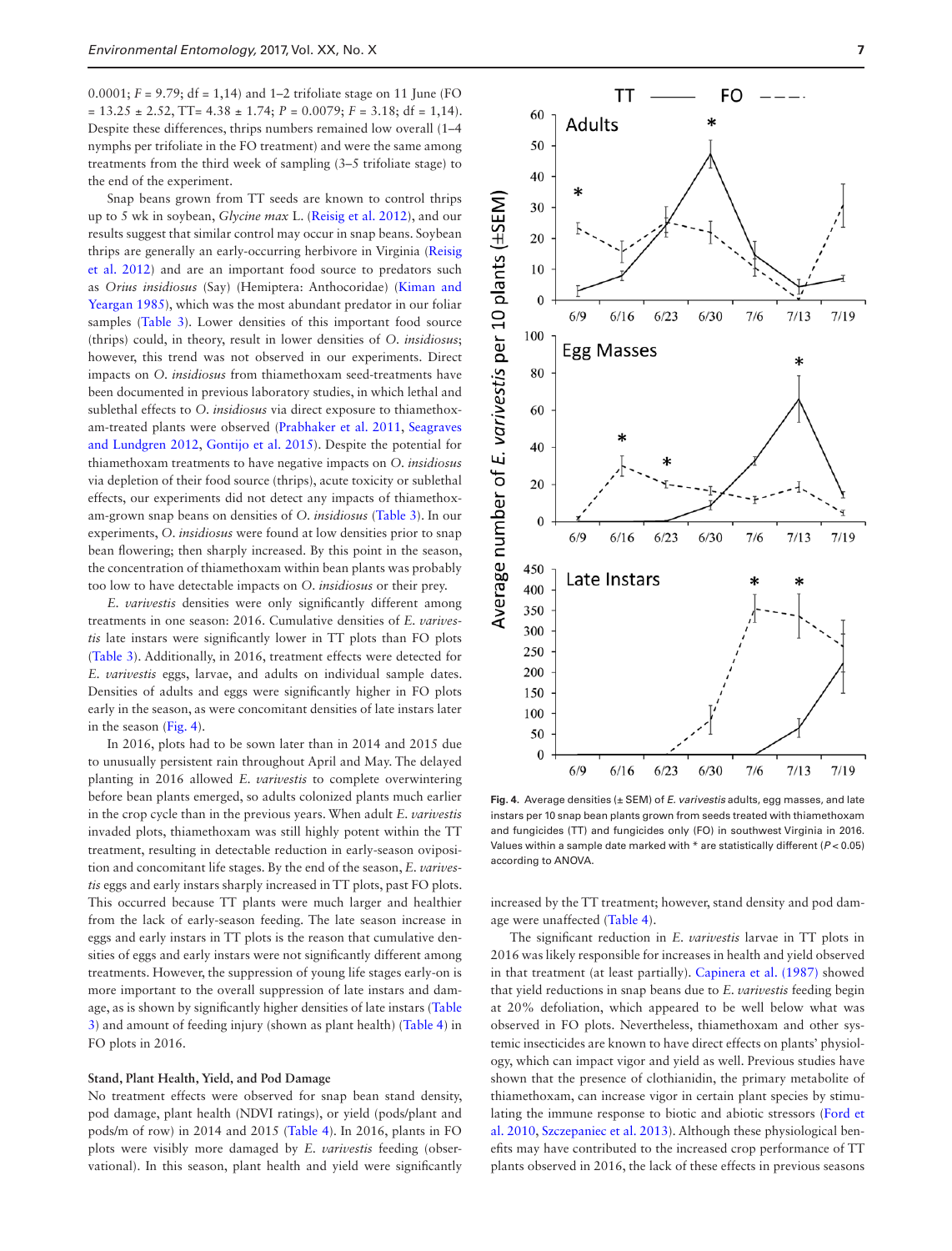0.0001; *F* = 9.79; df = 1,14) and 1–2 trifoliate stage on 11 June (FO  $= 13.25 \pm 2.52$ , TT=  $4.38 \pm 1.74$ ;  $P = 0.0079$ ;  $F = 3.18$ ; df = 1,14). Despite these differences, thrips numbers remained low overall (1–4 nymphs per trifoliate in the FO treatment) and were the same among treatments from the third week of sampling (3–5 trifoliate stage) to the end of the experiment.

Snap beans grown from TT seeds are known to control thrips up to 5 wk in soybean, *Glycine max* L. ([Reisig et al. 2012\)](#page-8-7), and our results suggest that similar control may occur in snap beans. Soybean thrips are generally an early-occurring herbivore in Virginia [\(Reisig](#page-8-7) [et al. 2012](#page-8-7)) and are an important food source to predators such as *Orius insidiosus* (Say) (Hemiptera: Anthocoridae) [\(Kiman and](#page-8-25) [Yeargan 1985](#page-8-25)), which was the most abundant predator in our foliar samples [\(Table 3](#page-4-0)). Lower densities of this important food source (thrips) could, in theory, result in lower densities of *O. insidiosus*; however, this trend was not observed in our experiments. Direct impacts on *O. insidiosus* from thiamethoxam seed-treatments have been documented in previous laboratory studies, in which lethal and sublethal effects to *O. insidiosus* via direct exposure to thiamethoxam-treated plants were observed ([Prabhaker et al. 2011,](#page-8-15) [Seagraves](#page-8-16) [and Lundgren 2012,](#page-8-16) [Gontijo et al. 2015](#page-8-26)). Despite the potential for thiamethoxam treatments to have negative impacts on *O. insidiosus* via depletion of their food source (thrips), acute toxicity or sublethal effects, our experiments did not detect any impacts of thiamethoxam-grown snap beans on densities of *O. insidiosus* [\(Table 3\)](#page-4-0). In our experiments, *O. insidiosus* were found at low densities prior to snap bean flowering; then sharply increased. By this point in the season, the concentration of thiamethoxam within bean plants was probably too low to have detectable impacts on *O. insidiosus* or their prey.

*E. varivestis* densities were only significantly different among treatments in one season: 2016. Cumulative densities of *E. varivestis* late instars were significantly lower in TT plots than FO plots ([Table 3\)](#page-4-0). Additionally, in 2016, treatment effects were detected for *E. varivestis* eggs, larvae, and adults on individual sample dates. Densities of adults and eggs were significantly higher in FO plots early in the season, as were concomitant densities of late instars later in the season [\(Fig. 4\)](#page-5-0).

In 2016, plots had to be sown later than in 2014 and 2015 due to unusually persistent rain throughout April and May. The delayed planting in 2016 allowed *E. varivestis* to complete overwintering before bean plants emerged, so adults colonized plants much earlier in the crop cycle than in the previous years. When adult *E. varivestis* invaded plots, thiamethoxam was still highly potent within the TT treatment, resulting in detectable reduction in early-season oviposition and concomitant life stages. By the end of the season, *E. varivestis* eggs and early instars sharply increased in TT plots, past FO plots. This occurred because TT plants were much larger and healthier from the lack of early-season feeding. The late season increase in eggs and early instars in TT plots is the reason that cumulative densities of eggs and early instars were not significantly different among treatments. However, the suppression of young life stages early-on is more important to the overall suppression of late instars and damage, as is shown by significantly higher densities of late instars [\(Table](#page-4-0) [3](#page-4-0)) and amount of feeding injury (shown as plant health) [\(Table 4\)](#page-7-0) in FO plots in 2016.

#### **Stand, Plant Health, Yield, and Pod Damage**

No treatment effects were observed for snap bean stand density, pod damage, plant health (NDVI ratings), or yield (pods/plant and pods/m of row) in 2014 and 2015 [\(Table 4\)](#page-7-0). In 2016, plants in FO plots were visibly more damaged by *E. varivestis* feeding (observational). In this season, plant health and yield were significantly



**Fig. 4.** Average densities (± SEM) of *E. varivestis* adults, egg masses, and late instars per 10 snap bean plants grown from seeds treated with thiamethoxam and fungicides (TT) and fungicides only (FO) in southwest Virginia in 2016. Values within a sample date marked with \* are statistically different (*P* < 0.05) according to ANOVA.

increased by the TT treatment; however, stand density and pod damage were unaffected [\(Table 4\)](#page-7-0).

The significant reduction in *E. varivestis* larvae in TT plots in 2016 was likely responsible for increases in health and yield observed in that treatment (at least partially). [Capinera et al. \(1987\)](#page-8-27) showed that yield reductions in snap beans due to *E. varivestis* feeding begin at 20% defoliation, which appeared to be well below what was observed in FO plots. Nevertheless, thiamethoxam and other systemic insecticides are known to have direct effects on plants' physiology, which can impact vigor and yield as well. Previous studies have shown that the presence of clothianidin, the primary metabolite of thiamethoxam, can increase vigor in certain plant species by stimulating the immune response to biotic and abiotic stressors ([Ford et](#page-8-8) [al. 2010](#page-8-8), [Szczepaniec et al. 2013](#page-8-9)). Although these physiological benefits may have contributed to the increased crop performance of TT plants observed in 2016, the lack of these effects in previous seasons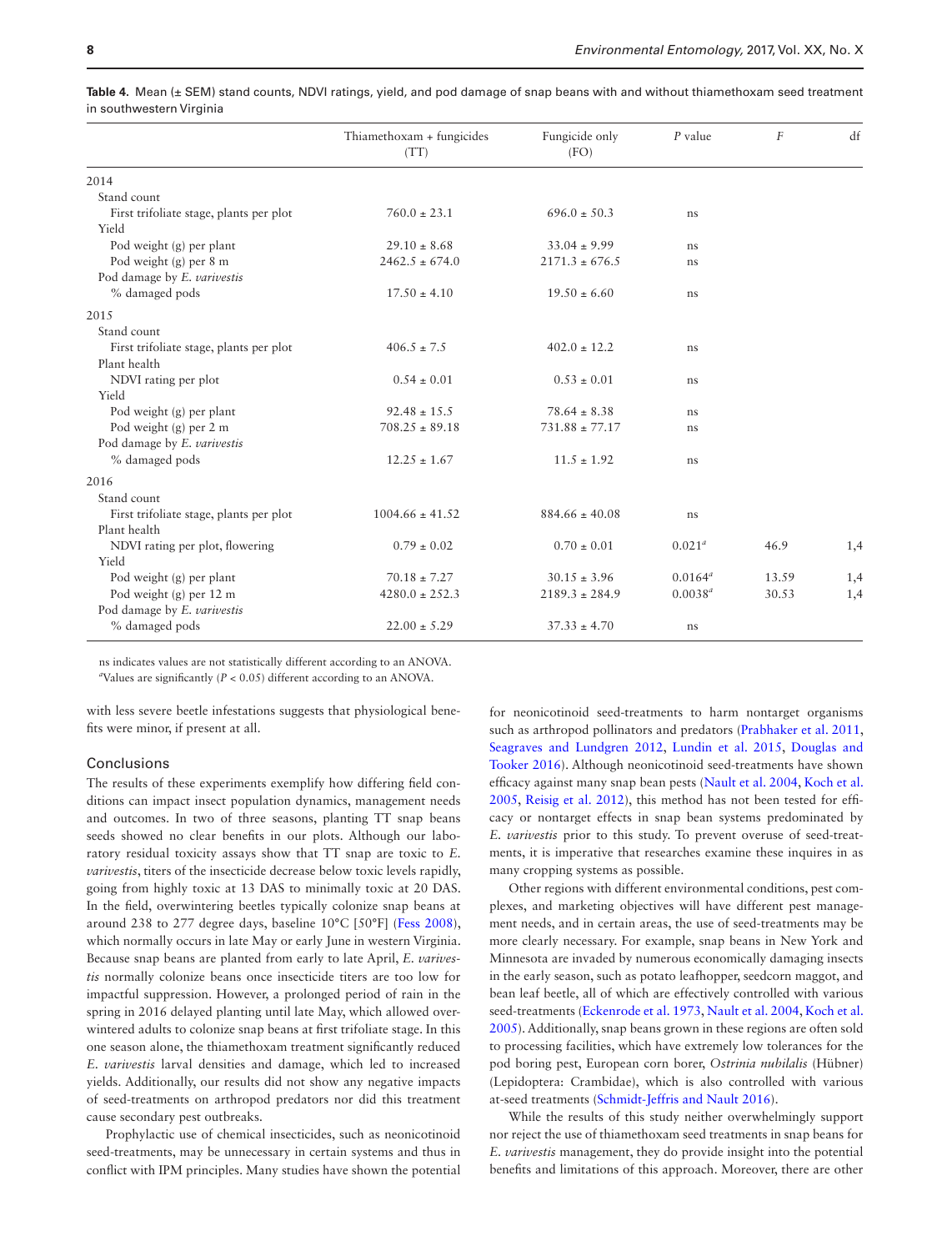|                                                  | Thiamethoxam + fungicides<br>(TT) | Fungicide only<br>(FO) | $P$ value    | $\overline{F}$ | df  |
|--------------------------------------------------|-----------------------------------|------------------------|--------------|----------------|-----|
| 2014                                             |                                   |                        |              |                |     |
| Stand count                                      |                                   |                        |              |                |     |
| First trifoliate stage, plants per plot<br>Yield | $760.0 \pm 23.1$                  | $696.0 \pm 50.3$       | ns           |                |     |
| Pod weight (g) per plant                         | $29.10 \pm 8.68$                  | $33.04 \pm 9.99$       | ns           |                |     |
| Pod weight (g) per 8 m                           | $2462.5 \pm 674.0$                | $2171.3 \pm 676.5$     | ns           |                |     |
| Pod damage by E. varivestis                      |                                   |                        |              |                |     |
| % damaged pods                                   | $17.50 \pm 4.10$                  | $19.50 \pm 6.60$       | ns           |                |     |
| 2015                                             |                                   |                        |              |                |     |
| Stand count                                      |                                   |                        |              |                |     |
| First trifoliate stage, plants per plot          | $406.5 \pm 7.5$                   | $402.0 \pm 12.2$       | ns           |                |     |
| Plant health                                     |                                   |                        |              |                |     |
| NDVI rating per plot                             | $0.54 \pm 0.01$                   | $0.53 \pm 0.01$        | ns           |                |     |
| Yield                                            |                                   |                        |              |                |     |
| Pod weight (g) per plant                         | $92.48 \pm 15.5$                  | $78.64 \pm 8.38$       | ns           |                |     |
| Pod weight (g) per 2 m                           | $708.25 \pm 89.18$                | $731.88 \pm 77.17$     | ns           |                |     |
| Pod damage by E. varivestis                      |                                   |                        |              |                |     |
| % damaged pods                                   | $12.25 \pm 1.67$                  | $11.5 \pm 1.92$        | ns           |                |     |
| 2016                                             |                                   |                        |              |                |     |
| Stand count                                      |                                   |                        |              |                |     |
| First trifoliate stage, plants per plot          | $1004.66 \pm 41.52$               | $884.66 \pm 40.08$     | ns           |                |     |
| Plant health                                     |                                   |                        |              |                |     |
| NDVI rating per plot, flowering                  | $0.79 \pm 0.02$                   | $0.70 \pm 0.01$        | $0.021^a$    | 46.9           | 1,4 |
| Yield                                            |                                   |                        |              |                |     |
| Pod weight (g) per plant                         | $70.18 \pm 7.27$                  | $30.15 \pm 3.96$       | $0.0164^a$   | 13.59          | 1,4 |
| Pod weight (g) per 12 m                          | $4280.0 \pm 252.3$                | $2189.3 \pm 284.9$     | $0.0038^{a}$ | 30.53          | 1,4 |
| Pod damage by E. varivestis                      |                                   |                        |              |                |     |
| % damaged pods                                   | $22.00 \pm 5.29$                  | $37.33 \pm 4.70$       | ns           |                |     |

<span id="page-7-0"></span>**Table 4.** Mean (± SEM) stand counts, NDVI ratings, yield, and pod damage of snap beans with and without thiamethoxam seed treatment in southwestern Virginia

ns indicates values are not statistically different according to an ANOVA.

*a* Values are significantly (*P* < 0.05) different according to an ANOVA.

with less severe beetle infestations suggests that physiological benefits were minor, if present at all.

#### Conclusions

The results of these experiments exemplify how differing field conditions can impact insect population dynamics, management needs and outcomes. In two of three seasons, planting TT snap beans seeds showed no clear benefits in our plots. Although our laboratory residual toxicity assays show that TT snap are toxic to *E. varivestis*, titers of the insecticide decrease below toxic levels rapidly, going from highly toxic at 13 DAS to minimally toxic at 20 DAS. In the field, overwintering beetles typically colonize snap beans at around 238 to 277 degree days, baseline 10°C [50°F] ([Fess 2008\)](#page-8-18), which normally occurs in late May or early June in western Virginia. Because snap beans are planted from early to late April, *E. varivestis* normally colonize beans once insecticide titers are too low for impactful suppression. However, a prolonged period of rain in the spring in 2016 delayed planting until late May, which allowed overwintered adults to colonize snap beans at first trifoliate stage. In this one season alone, the thiamethoxam treatment significantly reduced *E. varivestis* larval densities and damage, which led to increased yields. Additionally, our results did not show any negative impacts of seed-treatments on arthropod predators nor did this treatment cause secondary pest outbreaks.

Prophylactic use of chemical insecticides, such as neonicotinoid seed-treatments, may be unnecessary in certain systems and thus in conflict with IPM principles. Many studies have shown the potential

for neonicotinoid seed-treatments to harm nontarget organisms such as arthropod pollinators and predators ([Prabhaker et al. 2011](#page-8-15), [Seagraves and Lundgren 2012,](#page-8-16) [Lundin et al. 2015](#page-8-2), [Douglas and](#page-8-1) [Tooker 2016](#page-8-1)). Although neonicotinoid seed-treatments have shown efficacy against many snap bean pests ([Nault et al. 2004](#page-8-5), [Koch et al.](#page-8-6) [2005,](#page-8-6) [Reisig et al. 2012\)](#page-8-7), this method has not been tested for efficacy or nontarget effects in snap bean systems predominated by *E. varivestis* prior to this study. To prevent overuse of seed-treatments, it is imperative that researches examine these inquires in as many cropping systems as possible.

Other regions with different environmental conditions, pest complexes, and marketing objectives will have different pest management needs, and in certain areas, the use of seed-treatments may be more clearly necessary. For example, snap beans in New York and Minnesota are invaded by numerous economically damaging insects in the early season, such as potato leafhopper, seedcorn maggot, and bean leaf beetle, all of which are effectively controlled with various seed-treatments [\(Eckenrode et al. 1973,](#page-8-17) [Nault et al. 2004](#page-8-5), [Koch et al.](#page-8-6) [2005\)](#page-8-6). Additionally, snap beans grown in these regions are often sold to processing facilities, which have extremely low tolerances for the pod boring pest, European corn borer, *Ostrinia nubilalis* (Hübner) (Lepidoptera: Crambidae), which is also controlled with various at-seed treatments ([Schmidt-Jeffris and Nault 2016](#page-8-28)).

While the results of this study neither overwhelmingly support nor reject the use of thiamethoxam seed treatments in snap beans for *E. varivestis* management, they do provide insight into the potential benefits and limitations of this approach. Moreover, there are other